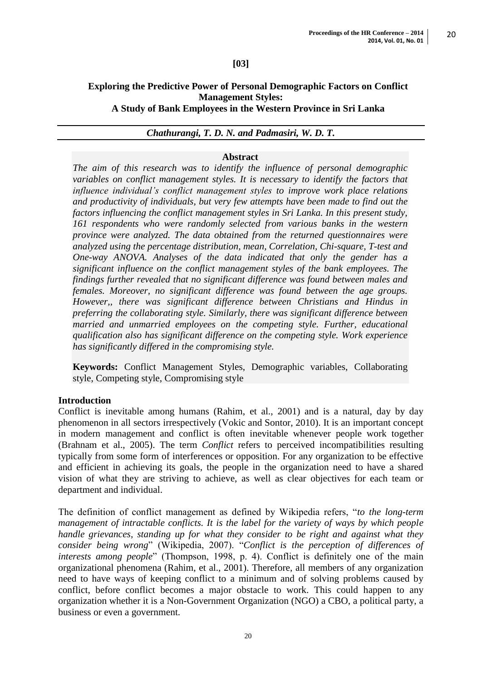### **[03]**

#### **Exploring the Predictive Power of Personal Demographic Factors on Conflict Management Styles: A Study of Bank Employees in the Western Province in Sri Lanka**

#### *Chathurangi, T. D. N. and Padmasiri, W. D. T.*

#### **Abstract**

*The aim of this research was to identify the influence of personal demographic variables on conflict management styles. It is necessary to identify the factors that influence individual's conflict management styles to improve work place relations and productivity of individuals, but very few attempts have been made to find out the factors influencing the conflict management styles in Sri Lanka. In this present study, 161 respondents who were randomly selected from various banks in the western province were analyzed. The data obtained from the returned questionnaires were analyzed using the percentage distribution, mean, Correlation, Chi-square, T-test and One-way ANOVA. Analyses of the data indicated that only the gender has a significant influence on the conflict management styles of the bank employees. The findings further revealed that no significant difference was found between males and females. Moreover, no significant difference was found between the age groups. However,, there was significant difference between Christians and Hindus in preferring the collaborating style. Similarly, there was significant difference between married and unmarried employees on the competing style. Further, educational qualification also has significant difference on the competing style. Work experience has significantly differed in the compromising style.* 

**Keywords:** Conflict Management Styles, Demographic variables, Collaborating style, Competing style, Compromising style

#### **Introduction**

Conflict is inevitable among humans (Rahim, et al., 2001) and is a natural, day by day phenomenon in all sectors irrespectively (Vokic and Sontor, 2010). It is an important concept in modern management and conflict is often inevitable whenever people work together (Brahnam et al., 2005). The term *Conflict* refers to perceived incompatibilities resulting typically from some form of interferences or opposition. For any organization to be effective and efficient in achieving its goals, the people in the organization need to have a shared vision of what they are striving to achieve, as well as clear objectives for each team or department and individual.

The definition of conflict management as defined by Wikipedia refers, "*to the long-term management of intractable conflicts. It is the label for the variety of ways by which people handle grievances, standing up for what they consider to be right and against what they consider being wrong*" (Wikipedia, 2007). "*Conflict is the perception of differences of interests among people*" (Thompson, 1998, p. 4). Conflict is definitely one of the main organizational phenomena (Rahim, et al., 2001). Therefore, all members of any organization need to have ways of keeping conflict to a minimum and of solving problems caused by conflict, before conflict becomes a major obstacle to work. This could happen to any organization whether it is a Non-Government Organization (NGO) a CBO, a political party, a business or even a government.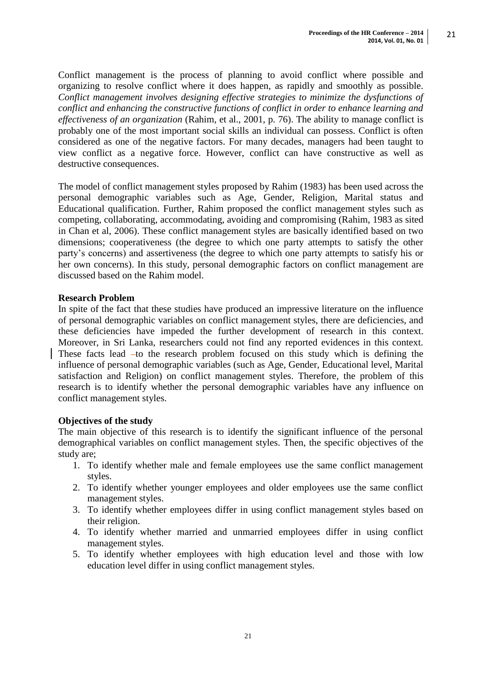Conflict management is the process of planning to avoid conflict where possible and organizing to resolve conflict where it does happen, as rapidly and smoothly as possible. *Conflict management involves designing effective strategies to minimize the dysfunctions of conflict and enhancing the constructive functions of conflict in order to enhance learning and effectiveness of an organization* (Rahim, et al., 2001, p. 76). The ability to manage conflict is probably one of the most important social skills an individual can possess. Conflict is often considered as one of the negative factors. For many decades, managers had been taught to view conflict as a negative force. However, conflict can have constructive as well as destructive consequences.

The model of conflict management styles proposed by Rahim (1983) has been used across the personal demographic variables such as Age, Gender, Religion, Marital status and Educational qualification. Further, Rahim proposed the conflict management styles such as competing, collaborating, accommodating, avoiding and compromising (Rahim, 1983 as sited in Chan et al, 2006). These conflict management styles are basically identified based on two dimensions; cooperativeness (the degree to which one party attempts to satisfy the other party's concerns) and assertiveness (the degree to which one party attempts to satisfy his or her own concerns). In this study, personal demographic factors on conflict management are discussed based on the Rahim model.

### **Research Problem**

In spite of the fact that these studies have produced an impressive literature on the influence of personal demographic variables on conflict management styles, there are deficiencies, and these deficiencies have impeded the further development of research in this context. Moreover, in Sri Lanka, researchers could not find any reported evidences in this context. These facts lead  $-$ to the research problem focused on this study which is defining the influence of personal demographic variables (such as Age, Gender, Educational level, Marital satisfaction and Religion) on conflict management styles. Therefore, the problem of this research is to identify whether the personal demographic variables have any influence on conflict management styles.

#### **Objectives of the study**

The main objective of this research is to identify the significant influence of the personal demographical variables on conflict management styles. Then, the specific objectives of the study are;

- 1. To identify whether male and female employees use the same conflict management styles.
- 2. To identify whether younger employees and older employees use the same conflict management styles.
- 3. To identify whether employees differ in using conflict management styles based on their religion.
- 4. To identify whether married and unmarried employees differ in using conflict management styles.
- 5. To identify whether employees with high education level and those with low education level differ in using conflict management styles.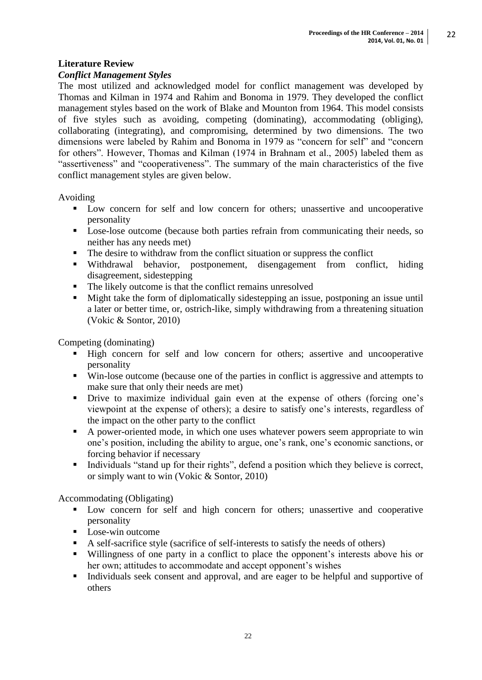# **Literature Review**

### *Conflict Management Styles*

The most utilized and acknowledged model for conflict management was developed by Thomas and Kilman in 1974 and Rahim and Bonoma in 1979. They developed the conflict management styles based on the work of Blake and Mounton from 1964. This model consists of five styles such as avoiding, competing (dominating), accommodating (obliging), collaborating (integrating), and compromising, determined by two dimensions. The two dimensions were labeled by Rahim and Bonoma in 1979 as "concern for self" and "concern for others". However, Thomas and Kilman (1974 in Brahnam et al., 2005) labeled them as "assertiveness" and "cooperativeness". The summary of the main characteristics of the five conflict management styles are given below.

Avoiding

- Low concern for self and low concern for others; unassertive and uncooperative personality
- **Lose-lose outcome (because both parties refrain from communicating their needs, so** neither has any needs met)
- The desire to withdraw from the conflict situation or suppress the conflict
- Withdrawal behavior, postponement, disengagement from conflict, hiding disagreement, sidestepping
- The likely outcome is that the conflict remains unresolved
- Might take the form of diplomatically sidestepping an issue, postponing an issue until a later or better time, or, ostrich-like, simply withdrawing from a threatening situation (Vokic & Sontor, 2010)

Competing (dominating)

- High concern for self and low concern for others; assertive and uncooperative personality
- Win-lose outcome (because one of the parties in conflict is aggressive and attempts to make sure that only their needs are met)
- Drive to maximize individual gain even at the expense of others (forcing one's viewpoint at the expense of others); a desire to satisfy one's interests, regardless of the impact on the other party to the conflict
- A power-oriented mode, in which one uses whatever powers seem appropriate to win one's position, including the ability to argue, one's rank, one's economic sanctions, or forcing behavior if necessary
- Individuals "stand up for their rights", defend a position which they believe is correct, or simply want to win (Vokic & Sontor, 2010)

Accommodating (Obligating)

- **Low concern for self and high concern for others; unassertive and cooperative** personality
- **Lose-win outcome**
- A self-sacrifice style (sacrifice of self-interests to satisfy the needs of others)
- Willingness of one party in a conflict to place the opponent's interests above his or her own; attitudes to accommodate and accept opponent's wishes
- Individuals seek consent and approval, and are eager to be helpful and supportive of others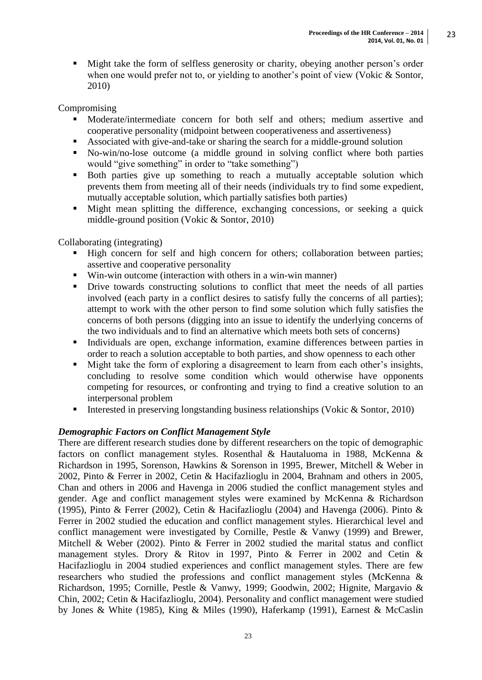Might take the form of selfless generosity or charity, obeying another person's order when one would prefer not to, or yielding to another's point of view (Vokic & Sontor, 2010)

# Compromising

- Moderate/intermediate concern for both self and others; medium assertive and cooperative personality (midpoint between cooperativeness and assertiveness)
- Associated with give-and-take or sharing the search for a middle-ground solution
- No-win/no-lose outcome (a middle ground in solving conflict where both parties would "give something" in order to "take something")
- Both parties give up something to reach a mutually acceptable solution which prevents them from meeting all of their needs (individuals try to find some expedient, mutually acceptable solution, which partially satisfies both parties)
- Might mean splitting the difference, exchanging concessions, or seeking a quick middle-ground position (Vokic & Sontor, 2010)

## Collaborating (integrating)

- High concern for self and high concern for others; collaboration between parties; assertive and cooperative personality
- Win-win outcome (interaction with others in a win-win manner)
- Drive towards constructing solutions to conflict that meet the needs of all parties involved (each party in a conflict desires to satisfy fully the concerns of all parties); attempt to work with the other person to find some solution which fully satisfies the concerns of both persons (digging into an issue to identify the underlying concerns of the two individuals and to find an alternative which meets both sets of concerns)
- Individuals are open, exchange information, examine differences between parties in order to reach a solution acceptable to both parties, and show openness to each other
- Might take the form of exploring a disagreement to learn from each other's insights, concluding to resolve some condition which would otherwise have opponents competing for resources, or confronting and trying to find a creative solution to an interpersonal problem
- Interested in preserving longstanding business relationships (Vokic  $\&$  Sontor, 2010)

## *Demographic Factors on Conflict Management Style*

There are different research studies done by different researchers on the topic of demographic factors on conflict management styles. Rosenthal & Hautaluoma in 1988, McKenna & Richardson in 1995, Sorenson, Hawkins & Sorenson in 1995, Brewer, Mitchell & Weber in 2002, Pinto & Ferrer in 2002, Cetin & Hacifazlioglu in 2004, Brahnam and others in 2005, Chan and others in 2006 and Havenga in 2006 studied the conflict management styles and gender. Age and conflict management styles were examined by McKenna & Richardson (1995), Pinto & Ferrer (2002), Cetin & Hacifazlioglu (2004) and Havenga (2006). Pinto & Ferrer in 2002 studied the education and conflict management styles. Hierarchical level and conflict management were investigated by Cornille, Pestle & Vanwy (1999) and Brewer, Mitchell & Weber (2002). Pinto & Ferrer in 2002 studied the marital status and conflict management styles. Drory & Ritov in 1997, Pinto & Ferrer in 2002 and Cetin & Hacifazlioglu in 2004 studied experiences and conflict management styles. There are few researchers who studied the professions and conflict management styles (McKenna & Richardson, 1995; Cornille, Pestle & Vanwy, 1999; Goodwin, 2002; Hignite, Margavio & Chin, 2002; Cetin & Hacifazlioglu, 2004). Personality and conflict management were studied by Jones & White (1985), King & Miles (1990), Haferkamp (1991), Earnest & McCaslin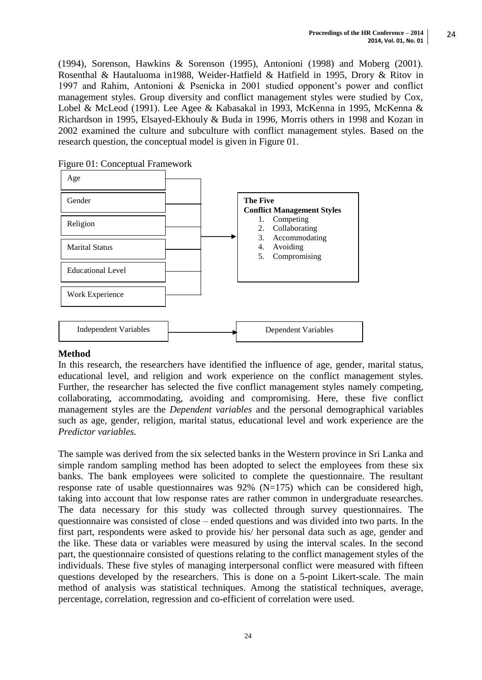(1994), Sorenson, Hawkins & Sorenson (1995), Antonioni (1998) and Moberg (2001). Rosenthal & Hautaluoma in1988, Weider-Hatfield & Hatfield in 1995, Drory & Ritov in 1997 and Rahim, Antonioni & Psenicka in 2001 studied opponent's power and conflict management styles. Group diversity and conflict management styles were studied by Cox, Lobel & McLeod (1991). Lee Agee & Kabasakal in 1993, McKenna in 1995, McKenna & Richardson in 1995, Elsayed-Ekhouly & Buda in 1996, Morris others in 1998 and Kozan in 2002 examined the culture and subculture with conflict management styles. Based on the research question, the conceptual model is given in Figure 01.

Figure 01: Conceptual Framework



## **Method**

In this research, the researchers have identified the influence of age, gender, marital status, educational level, and religion and work experience on the conflict management styles. Further, the researcher has selected the five conflict management styles namely competing, collaborating, accommodating, avoiding and compromising. Here, these five conflict management styles are the *Dependent variables* and the personal demographical variables such as age, gender, religion, marital status, educational level and work experience are the *Predictor variables.* 

The sample was derived from the six selected banks in the Western province in Sri Lanka and simple random sampling method has been adopted to select the employees from these six banks. The bank employees were solicited to complete the questionnaire. The resultant response rate of usable questionnaires was  $92\%$  (N=175) which can be considered high, taking into account that low response rates are rather common in undergraduate researches. The data necessary for this study was collected through survey questionnaires. The questionnaire was consisted of close – ended questions and was divided into two parts. In the first part, respondents were asked to provide his/ her personal data such as age, gender and the like. These data or variables were measured by using the interval scales. In the second part, the questionnaire consisted of questions relating to the conflict management styles of the individuals. These five styles of managing interpersonal conflict were measured with fifteen questions developed by the researchers. This is done on a 5-point Likert-scale. The main method of analysis was statistical techniques. Among the statistical techniques, average, percentage, correlation, regression and co-efficient of correlation were used.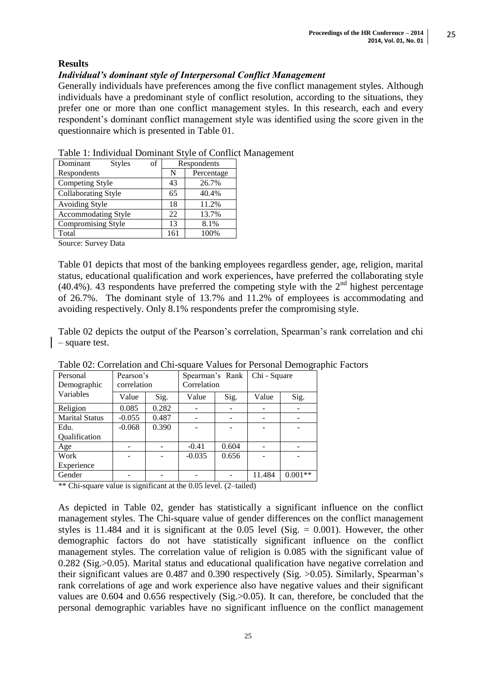# **Results**

# *Individual's dominant style of Interpersonal Conflict Management*

Generally individuals have preferences among the five conflict management styles. Although individuals have a predominant style of conflict resolution, according to the situations, they prefer one or more than one conflict management styles. In this research, each and every respondent's dominant conflict management style was identified using the score given in the questionnaire which is presented in Table 01.

| Dominant<br>of<br><b>Styles</b> | Respondents |            |  |  |
|---------------------------------|-------------|------------|--|--|
| Respondents                     | N           | Percentage |  |  |
| Competing Style                 | 43          | 26.7%      |  |  |
| Collaborating Style             | 65          | 40.4%      |  |  |
| <b>Avoiding Style</b>           | 18          | 11.2%      |  |  |
| <b>Accommodating Style</b>      | 22          | 13.7%      |  |  |
| Compromising Style              | 13          | 8.1%       |  |  |
| Total                           | 161         | 100%       |  |  |

Table 1: Individual Dominant Style of Conflict Management

Source: Survey Data

Table 01 depicts that most of the banking employees regardless gender, age, religion, marital status, educational qualification and work experiences, have preferred the collaborating style (40.4%). 43 respondents have preferred the competing style with the  $2<sup>nd</sup>$  highest percentage of 26.7%. The dominant style of 13.7% and 11.2% of employees is accommodating and avoiding respectively. Only 8.1% respondents prefer the compromising style.

Table 02 depicts the output of the Pearson's correlation, Spearman's rank correlation and chi – square test.

| Personal<br>Demographic | Pearson's<br>correlation |       | Spearman's Rank<br>Correlation |       | Chi - Square |           |
|-------------------------|--------------------------|-------|--------------------------------|-------|--------------|-----------|
| Variables               | Value                    | Sig.  | Value                          | Sig.  | Value        | Sig.      |
| Religion                | 0.085                    | 0.282 |                                |       |              |           |
| <b>Marital Status</b>   | $-0.055$                 | 0.487 | -                              | -     |              |           |
| Edu.                    | $-0.068$                 | 0.390 |                                |       |              |           |
| Qualification           |                          |       |                                |       |              |           |
| Age                     |                          |       | $-0.41$                        | 0.604 |              |           |
| Work                    |                          |       | $-0.035$                       | 0.656 |              |           |
| Experience              |                          |       |                                |       |              |           |
| Gender                  |                          |       |                                |       | 11.484       | $0.001**$ |

Table 02: Correlation and Chi-square Values for Personal Demographic Factors

\*\* Chi-square value is significant at the 0.05 level. (2–tailed)

As depicted in Table 02, gender has statistically a significant influence on the conflict management styles. The Chi-square value of gender differences on the conflict management styles is 11.484 and it is significant at the 0.05 level (Sig.  $= 0.001$ ). However, the other demographic factors do not have statistically significant influence on the conflict management styles. The correlation value of religion is 0.085 with the significant value of 0.282 (Sig.>0.05). Marital status and educational qualification have negative correlation and their significant values are 0.487 and 0.390 respectively (Sig. >0.05). Similarly, Spearman's rank correlations of age and work experience also have negative values and their significant values are 0.604 and 0.656 respectively (Sig.>0.05). It can, therefore, be concluded that the personal demographic variables have no significant influence on the conflict management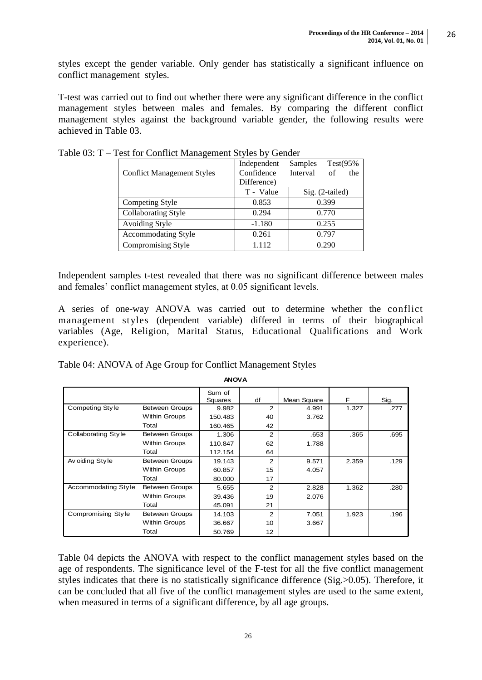styles except the gender variable. Only gender has statistically a significant influence on conflict management styles.

T-test was carried out to find out whether there were any significant difference in the conflict management styles between males and females. By comparing the different conflict management styles against the background variable gender, the following results were achieved in Table 03.

|                                   | Independent | Test $(95%$<br>Samples |
|-----------------------------------|-------------|------------------------|
| <b>Conflict Management Styles</b> | Confidence  | Interval<br>of<br>the  |
|                                   | Difference) |                        |
|                                   | T - Value   | Sig. (2-tailed)        |
| Competing Style                   | 0.853       | 0.399                  |
| Collaborating Style               | 0.294       | 0.770                  |
| Avoiding Style                    | $-1.180$    | 0.255                  |
| Accommodating Style               | 0.261       | 0.797                  |
| Compromising Style                | 1.112       | 0.290                  |

Table 03: T – Test for Conflict Management Styles by Gender

Independent samples t-test revealed that there was no significant difference between males and females' conflict management styles, at 0.05 significant levels.

A series of one-way ANOVA was carried out to determine whether the conflict management styles (dependent variable) differed in terms of their biographical variables (Age, Religion, Marital Status, Educational Qualifications and Work experience).

Table 04: ANOVA of Age Group for Conflict Management Styles

| <b>ANOVA</b>               |                       |                   |               |             |       |      |  |
|----------------------------|-----------------------|-------------------|---------------|-------------|-------|------|--|
|                            |                       | Sum of<br>Squares | df            | Mean Square | F     | Sig. |  |
| Competing Style            | <b>Between Groups</b> | 9.982             | 2             | 4.991       | 1.327 | .277 |  |
|                            | <b>Within Groups</b>  | 150.483           | 40            | 3.762       |       |      |  |
|                            | Total                 | 160.465           | 42            |             |       |      |  |
| <b>Collaborating Style</b> | <b>Between Groups</b> | 1.306             | 2             | .653        | .365  | .695 |  |
|                            | <b>Within Groups</b>  | 110.847           | 62            | 1.788       |       |      |  |
|                            | Total                 | 112.154           | 64            |             |       |      |  |
| Av oiding Style            | <b>Between Groups</b> | 19.143            | 2             | 9.571       | 2.359 | .129 |  |
|                            | <b>Within Groups</b>  | 60.857            | 15            | 4.057       |       |      |  |
|                            | Total                 | 80.000            | 17            |             |       |      |  |
| Accommodating Style        | <b>Between Groups</b> | 5.655             | $\mathcal{P}$ | 2.828       | 1.362 | .280 |  |
|                            | Within Groups         | 39.436            | 19            | 2.076       |       |      |  |
|                            | Total                 | 45.091            | 21            |             |       |      |  |
| Compromising Style         | Between Groups        | 14.103            | $\mathcal{P}$ | 7.051       | 1.923 | .196 |  |
|                            | Within Groups         | 36.667            | 10            | 3.667       |       |      |  |
|                            | Total                 | 50.769            | 12            |             |       |      |  |

Table 04 depicts the ANOVA with respect to the conflict management styles based on the age of respondents. The significance level of the F-test for all the five conflict management styles indicates that there is no statistically significance difference (Sig.>0.05). Therefore, it can be concluded that all five of the conflict management styles are used to the same extent, when measured in terms of a significant difference, by all age groups.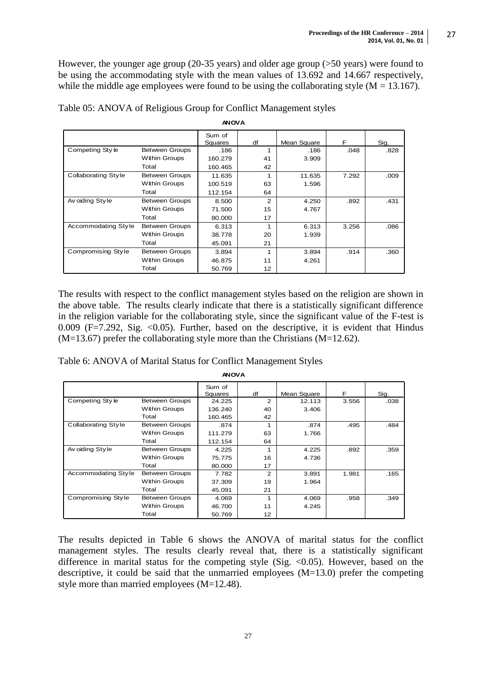However, the younger age group (20-35 years) and older age group (>50 years) were found to be using the accommodating style with the mean values of 13.692 and 14.667 respectively, while the middle age employees were found to be using the collaborating style  $(M = 13.167)$ .

| <b>ANOVA</b>               |                       |                   |                |             |       |      |  |  |
|----------------------------|-----------------------|-------------------|----------------|-------------|-------|------|--|--|
|                            |                       | Sum of<br>Squares | df             | Mean Square | F     | Sig. |  |  |
| Competing Style            | <b>Between Groups</b> | .186              | 1              | .186        | .048  | .828 |  |  |
|                            | Within Groups         | 160.279           | 41             | 3.909       |       |      |  |  |
|                            | Total                 | 160.465           | 42             |             |       |      |  |  |
| <b>Collaborating Style</b> | <b>Between Groups</b> | 11.635            | 1              | 11.635      | 7.292 | .009 |  |  |
|                            | Within Groups         | 100.519           | 63             | 1.596       |       |      |  |  |
|                            | Total                 | 112.154           | 64             |             |       |      |  |  |
| Av oiding Style            | <b>Between Groups</b> | 8.500             | $\overline{2}$ | 4.250       | .892  | .431 |  |  |
|                            | Within Groups         | 71.500            | 15             | 4.767       |       |      |  |  |
|                            | Total                 | 80.000            | 17             |             |       |      |  |  |
| Accommodating Style        | <b>Between Groups</b> | 6.313             | 1              | 6.313       | 3.256 | .086 |  |  |
|                            | Within Groups         | 38.778            | 20             | 1.939       |       |      |  |  |
|                            | Total                 | 45.091            | 21             |             |       |      |  |  |
| Compromising Style         | <b>Between Groups</b> | 3.894             | 1              | 3.894       | .914  | .360 |  |  |
|                            | Within Groups         | 46.875            | 11             | 4.261       |       |      |  |  |
|                            | Total                 | 50.769            | 12             |             |       |      |  |  |

Table 05: ANOVA of Religious Group for Conflict Management styles

The results with respect to the conflict management styles based on the religion are shown in the above table. The results clearly indicate that there is a statistically significant difference in the religion variable for the collaborating style, since the significant value of the F-test is 0.009 (F=7.292, Sig. <0.05). Further, based on the descriptive, it is evident that Hindus  $(M=13.67)$  prefer the collaborating style more than the Christians  $(M=12.62)$ .

|  | Table 6: ANOVA of Marital Status for Conflict Management Styles |
|--|-----------------------------------------------------------------|
|  |                                                                 |

| <b>ANOVA</b>        |                       |                   |                   |             |       |      |  |  |
|---------------------|-----------------------|-------------------|-------------------|-------------|-------|------|--|--|
|                     |                       | Sum of<br>Squares | df                | Mean Square | F     | Sig. |  |  |
| Competing Style     | <b>Between Groups</b> | 24.225            | $\overline{2}$    | 12.113      | 3.556 | .038 |  |  |
|                     | <b>Within Groups</b>  | 136.240           | 40                | 3.406       |       |      |  |  |
|                     | Total                 | 160.465           | 42                |             |       |      |  |  |
| Collaborating Style | <b>Between Groups</b> | .874              | 1                 | .874        | .495  | .484 |  |  |
|                     | <b>Within Groups</b>  | 111.279           | 63                | 1.766       |       |      |  |  |
|                     | Total                 | 112.154           | 64                |             |       |      |  |  |
| Av oiding Style     | <b>Between Groups</b> | 4.225             | 1                 | 4.225       | .892  | .359 |  |  |
|                     | <b>Within Groups</b>  | 75.775            | 16                | 4.736       |       |      |  |  |
|                     | Total                 | 80.000            | 17                |             |       |      |  |  |
| Accommodating Style | <b>Between Groups</b> | 7.782             | $\overline{2}$    | 3.891       | 1.981 | .165 |  |  |
|                     | <b>Within Groups</b>  | 37.309            | 19                | 1.964       |       |      |  |  |
|                     | Total                 | 45.091            | 21                |             |       |      |  |  |
| Compromising Style  | <b>Between Groups</b> | 4.069             | 1                 | 4.069       | .958  | .349 |  |  |
|                     | <b>Within Groups</b>  | 46.700            | 11                | 4.245       |       |      |  |  |
|                     | Total                 | 50.769            | $12 \overline{ }$ |             |       |      |  |  |

The results depicted in Table 6 shows the ANOVA of marital status for the conflict management styles. The results clearly reveal that, there is a statistically significant difference in marital status for the competing style (Sig.  $\langle 0.05 \rangle$ ). However, based on the descriptive, it could be said that the unmarried employees  $(M=13.0)$  prefer the competing style more than married employees (M=12.48).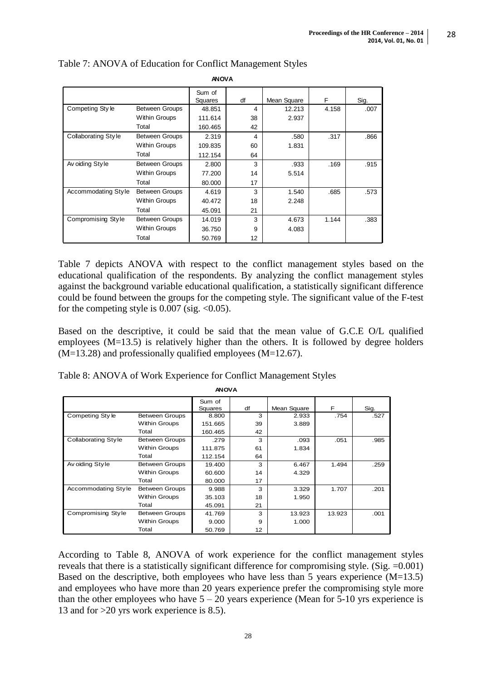| <b>ANOVA</b>               |                       |                          |    |             |       |      |  |
|----------------------------|-----------------------|--------------------------|----|-------------|-------|------|--|
|                            |                       | Sum of<br><b>Squares</b> | df | Mean Square | F     | Sig. |  |
| Competing Style            | <b>Between Groups</b> | 48.851                   | 4  | 12.213      | 4.158 | .007 |  |
|                            | <b>Within Groups</b>  | 111.614                  | 38 | 2.937       |       |      |  |
|                            | Total                 | 160.465                  | 42 |             |       |      |  |
| <b>Collaborating Style</b> | Between Groups        | 2.319                    | 4  | .580        | .317  | .866 |  |
|                            | <b>Within Groups</b>  | 109.835                  | 60 | 1.831       |       |      |  |
|                            | Total                 | 112.154                  | 64 |             |       |      |  |
| Av oiding Style            | <b>Between Groups</b> | 2.800                    | 3  | .933        | .169  | .915 |  |
|                            | <b>Within Groups</b>  | 77.200                   | 14 | 5.514       |       |      |  |
|                            | Total                 | 80.000                   | 17 |             |       |      |  |
| Accommodating Style        | <b>Between Groups</b> | 4.619                    | 3  | 1.540       | .685  | .573 |  |
|                            | <b>Within Groups</b>  | 40.472                   | 18 | 2.248       |       |      |  |
|                            | Total                 | 45.091                   | 21 |             |       |      |  |
| Compromising Style         | <b>Between Groups</b> | 14.019                   | 3  | 4.673       | 1.144 | .383 |  |
|                            | <b>Within Groups</b>  | 36.750                   | 9  | 4.083       |       |      |  |
|                            | Total                 | 50.769                   | 12 |             |       |      |  |

# Table 7: ANOVA of Education for Conflict Management Styles

Table 7 depicts ANOVA with respect to the conflict management styles based on the educational qualification of the respondents. By analyzing the conflict management styles against the background variable educational qualification, a statistically significant difference could be found between the groups for the competing style. The significant value of the F-test for the competing style is  $0.007$  (sig.  $<0.05$ ).

Based on the descriptive, it could be said that the mean value of G.C.E O/L qualified employees (M=13.5) is relatively higher than the others. It is followed by degree holders (M=13.28) and professionally qualified employees (M=12.67).

Table 8: ANOVA of Work Experience for Conflict Management Styles

| <b>ANOVA</b>        |                       |                   |    |             |        |      |  |  |
|---------------------|-----------------------|-------------------|----|-------------|--------|------|--|--|
|                     |                       | Sum of<br>Squares | df | Mean Square | F      | Sig. |  |  |
| Competing Style     | <b>Between Groups</b> | 8.800             | 3  | 2.933       | .754   | .527 |  |  |
|                     | <b>Within Groups</b>  | 151.665           | 39 | 3.889       |        |      |  |  |
|                     | Total                 | 160.465           | 42 |             |        |      |  |  |
| Collaborating Style | <b>Between Groups</b> | .279              | 3  | .093        | .051   | .985 |  |  |
|                     | <b>Within Groups</b>  | 111.875           | 61 | 1.834       |        |      |  |  |
|                     | Total                 | 112.154           | 64 |             |        |      |  |  |
| Av oiding Style     | <b>Between Groups</b> | 19.400            | 3  | 6.467       | 1.494  | .259 |  |  |
|                     | <b>Within Groups</b>  | 60.600            | 14 | 4.329       |        |      |  |  |
|                     | Total                 | 80.000            | 17 |             |        |      |  |  |
| Accommodating Style | <b>Between Groups</b> | 9.988             | 3  | 3.329       | 1.707  | .201 |  |  |
|                     | <b>Within Groups</b>  | 35.103            | 18 | 1.950       |        |      |  |  |
|                     | Total                 | 45.091            | 21 |             |        |      |  |  |
| Compromising Style  | <b>Between Groups</b> | 41.769            | 3  | 13.923      | 13.923 | .001 |  |  |
|                     | <b>Within Groups</b>  | 9.000             | 9  | 1.000       |        |      |  |  |
|                     | Total                 | 50.769            | 12 |             |        |      |  |  |

According to Table 8, ANOVA of work experience for the conflict management styles reveals that there is a statistically significant difference for compromising style. (Sig. =0.001) Based on the descriptive, both employees who have less than 5 years experience (M=13.5) and employees who have more than 20 years experience prefer the compromising style more than the other employees who have  $5 - 20$  years experience (Mean for  $5\n-10$  yrs experience is 13 and for >20 yrs work experience is 8.5).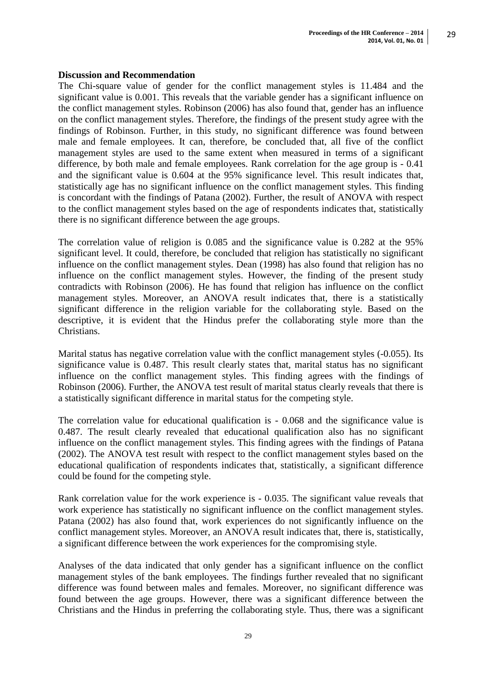#### **Discussion and Recommendation**

The Chi-square value of gender for the conflict management styles is 11.484 and the significant value is 0.001. This reveals that the variable gender has a significant influence on the conflict management styles. Robinson (2006) has also found that, gender has an influence on the conflict management styles. Therefore, the findings of the present study agree with the findings of Robinson. Further, in this study, no significant difference was found between male and female employees. It can, therefore, be concluded that, all five of the conflict management styles are used to the same extent when measured in terms of a significant difference, by both male and female employees. Rank correlation for the age group is - 0.41 and the significant value is 0.604 at the 95% significance level. This result indicates that, statistically age has no significant influence on the conflict management styles. This finding is concordant with the findings of Patana (2002). Further, the result of ANOVA with respect to the conflict management styles based on the age of respondents indicates that, statistically there is no significant difference between the age groups.

The correlation value of religion is 0.085 and the significance value is 0.282 at the 95% significant level. It could, therefore, be concluded that religion has statistically no significant influence on the conflict management styles. Dean (1998) has also found that religion has no influence on the conflict management styles. However, the finding of the present study contradicts with Robinson (2006). He has found that religion has influence on the conflict management styles. Moreover, an ANOVA result indicates that, there is a statistically significant difference in the religion variable for the collaborating style. Based on the descriptive, it is evident that the Hindus prefer the collaborating style more than the Christians.

Marital status has negative correlation value with the conflict management styles (-0.055). Its significance value is 0.487. This result clearly states that, marital status has no significant influence on the conflict management styles. This finding agrees with the findings of Robinson (2006). Further, the ANOVA test result of marital status clearly reveals that there is a statistically significant difference in marital status for the competing style.

The correlation value for educational qualification is - 0.068 and the significance value is 0.487. The result clearly revealed that educational qualification also has no significant influence on the conflict management styles. This finding agrees with the findings of Patana (2002). The ANOVA test result with respect to the conflict management styles based on the educational qualification of respondents indicates that, statistically, a significant difference could be found for the competing style.

Rank correlation value for the work experience is - 0.035. The significant value reveals that work experience has statistically no significant influence on the conflict management styles. Patana (2002) has also found that, work experiences do not significantly influence on the conflict management styles. Moreover, an ANOVA result indicates that, there is, statistically, a significant difference between the work experiences for the compromising style.

Analyses of the data indicated that only gender has a significant influence on the conflict management styles of the bank employees. The findings further revealed that no significant difference was found between males and females. Moreover, no significant difference was found between the age groups. However, there was a significant difference between the Christians and the Hindus in preferring the collaborating style. Thus, there was a significant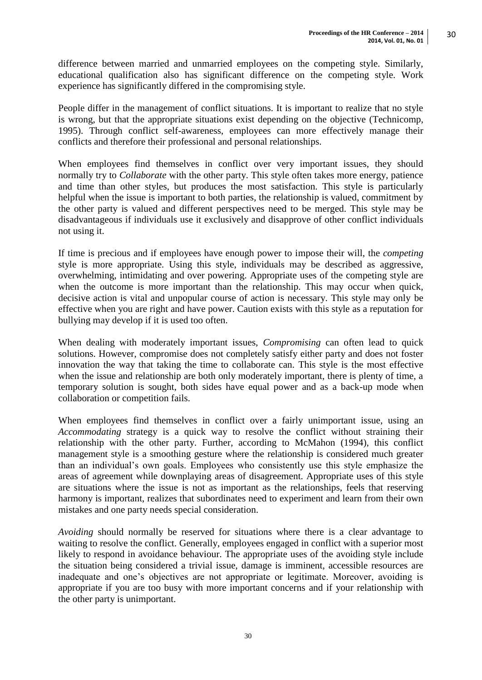difference between married and unmarried employees on the competing style. Similarly, educational qualification also has significant difference on the competing style. Work experience has significantly differed in the compromising style.

People differ in the management of conflict situations. It is important to realize that no style is wrong, but that the appropriate situations exist depending on the objective (Technicomp, 1995). Through conflict self-awareness, employees can more effectively manage their conflicts and therefore their professional and personal relationships.

When employees find themselves in conflict over very important issues, they should normally try to *Collaborate* with the other party. This style often takes more energy, patience and time than other styles, but produces the most satisfaction. This style is particularly helpful when the issue is important to both parties, the relationship is valued, commitment by the other party is valued and different perspectives need to be merged. This style may be disadvantageous if individuals use it exclusively and disapprove of other conflict individuals not using it.

If time is precious and if employees have enough power to impose their will, the *competing*  style is more appropriate. Using this style, individuals may be described as aggressive, overwhelming, intimidating and over powering. Appropriate uses of the competing style are when the outcome is more important than the relationship. This may occur when quick, decisive action is vital and unpopular course of action is necessary. This style may only be effective when you are right and have power. Caution exists with this style as a reputation for bullying may develop if it is used too often.

When dealing with moderately important issues, *Compromising* can often lead to quick solutions. However, compromise does not completely satisfy either party and does not foster innovation the way that taking the time to collaborate can. This style is the most effective when the issue and relationship are both only moderately important, there is plenty of time, a temporary solution is sought, both sides have equal power and as a back-up mode when collaboration or competition fails.

When employees find themselves in conflict over a fairly unimportant issue, using an *Accommodating* strategy is a quick way to resolve the conflict without straining their relationship with the other party. Further, according to McMahon (1994), this conflict management style is a smoothing gesture where the relationship is considered much greater than an individual's own goals. Employees who consistently use this style emphasize the areas of agreement while downplaying areas of disagreement. Appropriate uses of this style are situations where the issue is not as important as the relationships, feels that reserving harmony is important, realizes that subordinates need to experiment and learn from their own mistakes and one party needs special consideration.

*Avoiding* should normally be reserved for situations where there is a clear advantage to waiting to resolve the conflict. Generally, employees engaged in conflict with a superior most likely to respond in avoidance behaviour. The appropriate uses of the avoiding style include the situation being considered a trivial issue, damage is imminent, accessible resources are inadequate and one's objectives are not appropriate or legitimate. Moreover, avoiding is appropriate if you are too busy with more important concerns and if your relationship with the other party is unimportant.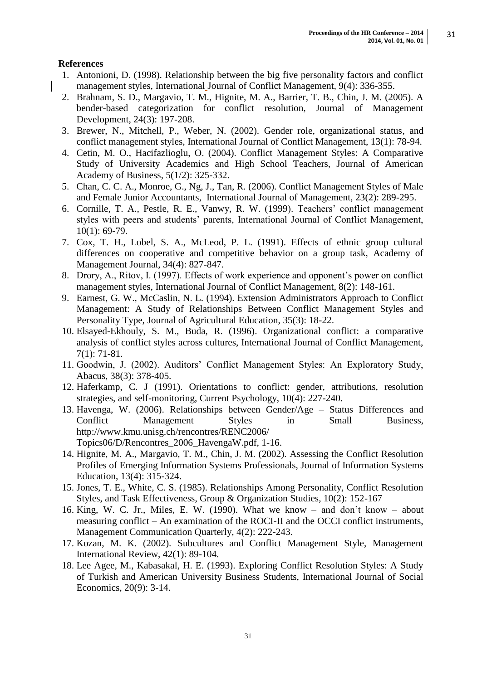# **References**

- 1. Antonioni, D. (1998). Relationship between the big five personality factors and conflict management styles, International Journal of Conflict Management, 9(4): 336-355.
- 2. Brahnam, S. D., Margavio, T. M., Hignite, M. A., Barrier, T. B., Chin, J. M. (2005). A bender-based categorization for conflict resolution, Journal of Management Development, 24(3): 197-208.
- 3. Brewer, N., Mitchell, P., Weber, N. (2002). Gender role, organizational status, and conflict management styles, International Journal of Conflict Management, 13(1): 78-94.
- 4. Cetin, M. O., Hacifazlioglu, O. (2004). Conflict Management Styles: A Comparative Study of University Academics and High School Teachers, Journal of American Academy of Business, 5(1/2): 325-332.
- 5. Chan, C. C. A., Monroe, G., Ng, J., Tan, R. (2006). Conflict Management Styles of Male and Female Junior Accountants, International Journal of Management, 23(2): 289-295.
- 6. Cornille, T. A., Pestle, R. E., Vanwy, R. W. (1999). Teachers' conflict management styles with peers and students' parents, International Journal of Conflict Management, 10(1): 69-79.
- 7. Cox, T. H., Lobel, S. A., McLeod, P. L. (1991). Effects of ethnic group cultural differences on cooperative and competitive behavior on a group task, Academy of Management Journal, 34(4): 827-847.
- 8. Drory, A., Ritov, I. (1997). Effects of work experience and opponent's power on conflict management styles, International Journal of Conflict Management, 8(2): 148-161.
- 9. Earnest, G. W., McCaslin, N. L. (1994). Extension Administrators Approach to Conflict Management: A Study of Relationships Between Conflict Management Styles and Personality Type, Journal of Agricultural Education, 35(3): 18-22.
- 10. Elsayed-Ekhouly, S. M., Buda, R. (1996). Organizational conflict: a comparative analysis of conflict styles across cultures, International Journal of Conflict Management, 7(1): 71-81.
- 11. Goodwin, J. (2002). Auditors' Conflict Management Styles: An Exploratory Study, Abacus, 38(3): 378-405.
- 12. Haferkamp, C. J (1991). Orientations to conflict: gender, attributions, resolution strategies, and self-monitoring, Current Psychology, 10(4): 227-240.
- 13. Havenga, W. (2006). Relationships between Gender/Age Status Differences and Conflict Management Styles in Small Business, http://www.kmu.unisg.ch/rencontres/RENC2006/ Topics06/D/Rencontres\_2006\_HavengaW.pdf, 1-16.
- 14. Hignite, M. A., Margavio, T. M., Chin, J. M. (2002). Assessing the Conflict Resolution Profiles of Emerging Information Systems Professionals, Journal of Information Systems Education, 13(4): 315-324.
- 15. Jones, T. E., White, C. S. (1985). Relationships Among Personality, Conflict Resolution Styles, and Task Effectiveness, Group & Organization Studies, 10(2): 152-167
- 16. King, W. C. Jr., Miles, E. W. (1990). What we know and don't know about measuring conflict – An examination of the ROCI-II and the OCCI conflict instruments, Management Communication Quarterly, 4(2): 222-243.
- 17. Kozan, M. K. (2002). Subcultures and Conflict Management Style, Management International Review, 42(1): 89-104.
- 18. Lee Agee, M., Kabasakal, H. E. (1993). Exploring Conflict Resolution Styles: A Study of Turkish and American University Business Students, International Journal of Social Economics, 20(9): 3-14.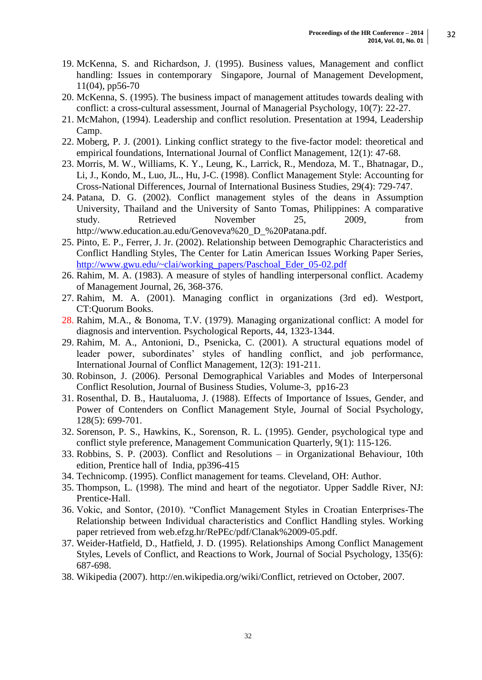- 19. McKenna, S. and Richardson, J. (1995). Business values, Management and conflict handling: Issues in contemporary Singapore, Journal of Management Development, 11(04), pp56-70
- 20. McKenna, S. (1995). The business impact of management attitudes towards dealing with conflict: a cross-cultural assessment, Journal of Managerial Psychology, 10(7): 22-27.
- 21. McMahon, (1994). Leadership and conflict resolution. Presentation at 1994, Leadership Camp.
- 22. Moberg, P. J. (2001). Linking conflict strategy to the five-factor model: theoretical and empirical foundations, International Journal of Conflict Management, 12(1): 47-68.
- 23. Morris, M. W., Williams, K. Y., Leung, K., Larrick, R., Mendoza, M. T., Bhatnagar, D., Li, J., Kondo, M., Luo, JL., Hu, J-C. (1998). Conflict Management Style: Accounting for Cross-National Differences, Journal of International Business Studies, 29(4): 729-747.
- 24. Patana, D. G. (2002). Conflict management styles of the deans in Assumption University, Thailand and the University of Santo Tomas, Philippines: A comparative study. Retrieved November 25, 2009, from [http://www.education.au.edu/Genoveva%20\\_D\\_%20Patana.pdf.](http://www.education.au.edu/Genoveva%20_D_%20Patana.pdf)
- 25. Pinto, E. P., Ferrer, J. Jr. (2002). Relationship between Demographic Characteristics and Conflict Handling Styles, The Center for Latin American Issues Working Paper Series, [http://www.gwu.edu/~clai/working\\_papers/Paschoal\\_Eder\\_05-02.pdf](http://www.gwu.edu/~clai/working_papers/Paschoal_Eder_05-02.pdf)
- 26. Rahim, M. A. (1983). A measure of styles of handling interpersonal conflict. Academy of Management Journal, 26, 368-376.
- 27. Rahim, M. A. (2001). Managing conflict in organizations (3rd ed). Westport, CT:Quorum Books.
- 28. Rahim, M.A., & Bonoma, T.V. (1979). Managing organizational conflict: A model for diagnosis and intervention. Psychological Reports, 44, 1323-1344.
- 29. Rahim, M. A., Antonioni, D., Psenicka, C. (2001). A structural equations model of leader power, subordinates' styles of handling conflict, and job performance, International Journal of Conflict Management, 12(3): 191-211.
- 30. Robinson, J. (2006). Personal Demographical Variables and Modes of Interpersonal Conflict Resolution, Journal of Business Studies, Volume-3, pp16-23
- 31. Rosenthal, D. B., Hautaluoma, J. (1988). Effects of Importance of Issues, Gender, and Power of Contenders on Conflict Management Style, Journal of Social Psychology, 128(5): 699-701.
- 32. Sorenson, P. S., Hawkins, K., Sorenson, R. L. (1995). Gender, psychological type and conflict style preference, Management Communication Quarterly, 9(1): 115-126.
- 33. Robbins, S. P. (2003). Conflict and Resolutions in Organizational Behaviour, 10th edition, Prentice hall of India, pp396-415
- 34. Technicomp. (1995). Conflict management for teams. Cleveland, OH: Author.
- 35. Thompson, L. (1998). The mind and heart of the negotiator. Upper Saddle River, NJ: Prentice-Hall.
- 36. Vokic, and Sontor, (2010). "Conflict Management Styles in Croatian Enterprises-The Relationship between Individual characteristics and Conflict Handling styles. Working paper retrieved from web.efzg.hr/RePEc/pdf/Clanak%2009-05.pdf.
- 37. Weider-Hatfield, D., Hatfield, J. D. (1995). Relationships Among Conflict Management Styles, Levels of Conflict, and Reactions to Work, Journal of Social Psychology, 135(6): 687-698.
- 38. Wikipedia (2007). http://en.wikipedia.org/wiki/Conflict, retrieved on October, 2007.